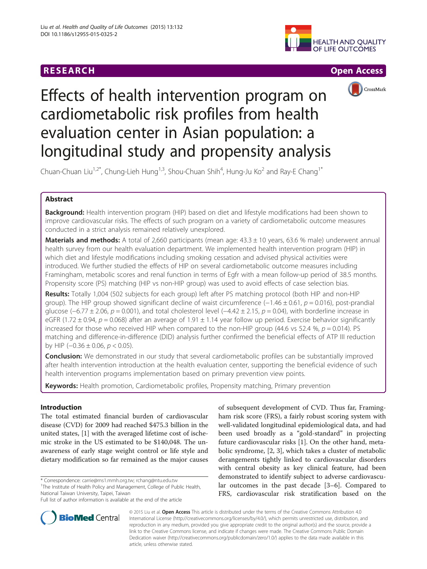# **RESEARCH CHEAR CHEAR CHEAR CHEAR CHEAR CHEAR CHEAR CHEAR CHEAR CHEAR CHEAR CHEAR CHEAR CHEAR CHEAR CHEAR CHEAR**







# Effects of health intervention program on cardiometabolic risk profiles from health evaluation center in Asian population: a longitudinal study and propensity analysis

Chuan-Chuan Liu<sup>1,2\*</sup>, Chung-Lieh Hung<sup>1,3</sup>, Shou-Chuan Shih<sup>4</sup>, Hung-Ju Ko<sup>2</sup> and Ray-E Chang<sup>1\*</sup>

# Abstract

**Background:** Health intervention program (HIP) based on diet and lifestyle modifications had been shown to improve cardiovascular risks. The effects of such program on a variety of cardiometabolic outcome measures conducted in a strict analysis remained relatively unexplored.

**Materials and methods:** A total of 2,660 participants (mean age:  $43.3 \pm 10$  years, 63.6 % male) underwent annual health survey from our health evaluation department. We implemented health intervention program (HIP) in which diet and lifestyle modifications including smoking cessation and advised physical activities were introduced. We further studied the effects of HIP on several cardiometabolic outcome measures including Framingham, metabolic scores and renal function in terms of Egfr with a mean follow-up period of 38.5 months. Propensity score (PS) matching (HIP vs non-HIP group) was used to avoid effects of case selection bias.

Results: Totally 1,004 (502 subjects for each group) left after PS matching protocol (both HIP and non-HIP group). The HIP group showed significant decline of waist circumference  $(-1.46 \pm 0.61, p = 0.016)$ , post-prandial glucose (−6.77 ± 2.06, p = 0.001), and total cholesterol level (−4.42 ± 2.15, p = 0.04), with borderline increase in eGFR (1.72  $\pm$  0.94, p = 0.068) after an average of 1.91  $\pm$  1.14 year follow up period. Exercise behavior significantly increased for those who received HIP when compared to the non-HIP group (44.6 vs 52.4 %,  $p = 0.014$ ). PS matching and difference-in-difference (DID) analysis further confirmed the beneficial effects of ATP III reduction by HIP  $(-0.36 \pm 0.06, p < 0.05)$ .

**Conclusion:** We demonstrated in our study that several cardiometabolic profiles can be substantially improved after health intervention introduction at the health evaluation center, supporting the beneficial evidence of such health intervention programs implementation based on primary prevention view points.

Keywords: Health promotion, Cardiometabolic profiles, Propensity matching, Primary prevention

# Introduction

The total estimated financial burden of cardiovascular disease (CVD) for 2009 had reached \$475.3 billion in the united states, [[1\]](#page-8-0) with the averaged lifetime cost of ischemic stroke in the US estimated to be \$140,048. The unawareness of early stage weight control or life style and dietary modification so far remained as the major causes

\* Correspondence: [carrie@ms1.mmh.org.tw](mailto:carrie@ms1.mmh.org.tw); [rchang@ntu.edu.tw](mailto:rchang@ntu.edu.tw) <sup>1</sup> <sup>1</sup>The Institute of Health Policy and Management, College of Public Health, National Taiwan University, Taipei, Taiwan

of subsequent development of CVD. Thus far, Framingham risk score (FRS), a fairly robust scoring system with well-validated longitudinal epidemiological data, and had been used broadly as a "gold-standard" in projecting future cardiovascular risks [\[1\]](#page-8-0). On the other hand, metabolic syndrome, [[2, 3\]](#page-8-0), which takes a cluster of metabolic derangements tightly linked to cardiovascular disorders with central obesity as key clinical feature, had been demonstrated to identify subject to adverse cardiovascular outcomes in the past decade [[3](#page-8-0)–[6](#page-8-0)]. Compared to FRS, cardiovascular risk stratification based on the



© 2015 Liu et al. Open Access This article is distributed under the terms of the Creative Commons Attribution 4.0 International License [\(http://creativecommons.org/licenses/by/4.0/\)](http://creativecommons.org/licenses/by/4.0/), which permits unrestricted use, distribution, and reproduction in any medium, provided you give appropriate credit to the original author(s) and the source, provide a link to the Creative Commons license, and indicate if changes were made. The Creative Commons Public Domain Dedication waiver ([http://creativecommons.org/publicdomain/zero/1.0/\)](http://creativecommons.org/publicdomain/zero/1.0/) applies to the data made available in this article, unless otherwise stated.

Full list of author information is available at the end of the article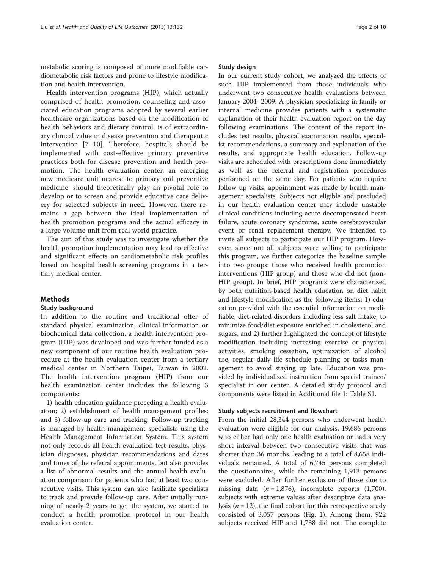metabolic scoring is composed of more modifiable cardiometabolic risk factors and prone to lifestyle modification and health intervention.

Health intervention programs (HIP), which actually comprised of health promotion, counseling and associated education programs adopted by several earlier healthcare organizations based on the modification of health behaviors and dietary control, is of extraordinary clinical value in disease prevention and therapeutic intervention [[7](#page-8-0)–[10](#page-8-0)]. Therefore, hospitals should be implemented with cost-effective primary preventive practices both for disease prevention and health promotion. The health evaluation center, an emerging new medicare unit nearest to primary and preventive medicine, should theoretically play an pivotal role to develop or to screen and provide educative care delivery for selected subjects in need. However, there remains a gap between the ideal implementation of health promotion programs and the actual efficacy in a large volume unit from real world practice.

The aim of this study was to investigate whether the health promotion implementation may lead to effective and significant effects on cardiometabolic risk profiles based on hospital health screening programs in a tertiary medical center.

#### Methods

#### Study background

In addition to the routine and traditional offer of standard physical examination, clinical information or biochemical data collection, a health intervention program (HIP) was developed and was further funded as a new component of our routine health evaluation procedure at the health evaluation center from a tertiary medical center in Northern Taipei, Taiwan in 2002. The health intervention program (HIP) from our health examination center includes the following 3 components:

1) health education guidance preceding a health evaluation; 2) establishment of health management profiles; and 3) follow-up care and tracking. Follow-up tracking is managed by health management specialists using the Health Management Information System. This system not only records all health evaluation test results, physician diagnoses, physician recommendations and dates and times of the referral appointments, but also provides a list of abnormal results and the annual health evaluation comparison for patients who had at least two consecutive visits. This system can also facilitate specialists to track and provide follow-up care. After initially running of nearly 2 years to get the system, we started to conduct a health promotion protocol in our health evaluation center.

#### Study design

In our current study cohort, we analyzed the effects of such HIP implemented from those individuals who underwent two consecutive health evaluations between January 2004–2009. A physician specializing in family or internal medicine provides patients with a systematic explanation of their health evaluation report on the day following examinations. The content of the report includes test results, physical examination results, specialist recommendations, a summary and explanation of the results, and appropriate health education. Follow-up visits are scheduled with prescriptions done immediately as well as the referral and registration procedures performed on the same day. For patients who require follow up visits, appointment was made by health management specialists. Subjects not eligible and precluded in our health evaluation center may include unstable clinical conditions including acute decompensated heart failure, acute coronary syndrome, acute cerebrovascular event or renal replacement therapy. We intended to invite all subjects to participate our HIP program. However, since not all subjects were willing to participate this program, we further categorize the baseline sample into two groups: those who received health promotion interventions (HIP group) and those who did not (non-HIP group). In brief, HIP programs were characterized by both nutrition-based health education on diet habit and lifestyle modification as the following items: 1) education provided with the essential information on modifiable, diet-related disorders including less salt intake, to minimize food/diet exposure enriched in cholesterol and sugars, and 2) further highlighted the concept of lifestyle modification including increasing exercise or physical activities, smoking cessation, optimization of alcohol use, regular daily life schedule planning or tasks management to avoid staying up late. Education was provided by individualized instruction from special trainee/ specialist in our center. A detailed study protocol and components were listed in Additional file [1:](#page-8-0) Table S1.

#### Study subjects recruitment and flowchart

From the initial 28,344 persons who underwent health evaluation were eligible for our analysis, 19,686 persons who either had only one health evaluation or had a very short interval between two consecutive visits that was shorter than 36 months, leading to a total of 8,658 individuals remained. A total of 6,745 persons completed the questionnaires, while the remaining 1,913 persons were excluded. After further exclusion of those due to missing data  $(n = 1,876)$ , incomplete reports  $(1,700)$ , subjects with extreme values after descriptive data analysis ( $n = 12$ ), the final cohort for this retrospective study consisted of 3,057 persons (Fig. [1](#page-2-0)). Among them, 922 subjects received HIP and 1,738 did not. The complete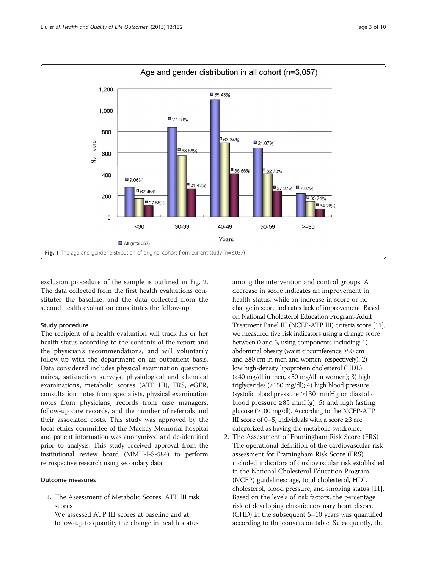<span id="page-2-0"></span>

exclusion procedure of the sample is outlined in Fig. [2](#page-3-0). The data collected from the first health evaluations constitutes the baseline, and the data collected from the second health evaluation constitutes the follow-up.

### Study procedure

The recipient of a health evaluation will track his or her health status according to the contents of the report and the physician's recommendations, and will voluntarily follow-up with the department on an outpatient basis. Data considered includes physical examination questionnaires, satisfaction surveys, physiological and chemical examinations, metabolic scores (ATP III), FRS, eGFR, consultation notes from specialists, physical examination notes from physicians, records from case managers, follow-up care records, and the number of referrals and their associated costs. This study was approved by the local ethics committee of the Mackay Memorial hospital and patient information was anonymized and de-identified prior to analysis. This study received approval from the institutional review board (MMH-I-S-584) to perform retrospective research using secondary data.

# Outcome measures

1. The Assessment of Metabolic Scores: ATP III risk scores

We assessed ATP III scores at baseline and at follow-up to quantify the change in health status

among the intervention and control groups. A decrease in score indicates an improvement in health status, while an increase in score or no change in score indicates lack of improvement. Based on National Cholesterol Education Program-Adult Treatment Panel III (NCEP-ATP III) criteria score [[11\]](#page-8-0), we measured five risk indicators using a change score between 0 and 5, using components including: 1) abdominal obesity (waist circumference ≥90 cm and  $\geq$ 80 cm in men and women, respectively); 2) low high-density lipoprotein cholesterol (HDL) (<40 mg/dl in men, <50 mg/dl in women); 3) high triglycerides (≥150 mg/dl); 4) high blood pressure (systolic blood pressure ≥130 mmHg or diastolic blood pressure ≥85 mmHg); 5) and high fasting glucose (≥100 mg/dl). According to the NCEP-ATP III score of 0–5, individuals with a score  $\geq 3$  are categorized as having the metabolic syndrome.

2. The Assessment of Framingham Risk Score (FRS) The operational definition of the cardiovascular risk assessment for Framingham Risk Score (FRS) included indicators of cardiovascular risk established in the National Cholesterol Education Program (NCEP) guidelines: age, total cholesterol, HDL cholesterol, blood pressure, and smoking status [\[11\]](#page-8-0). Based on the levels of risk factors, the percentage risk of developing chronic coronary heart disease (CHD) in the subsequent 5–10 years was quantified according to the conversion table. Subsequently, the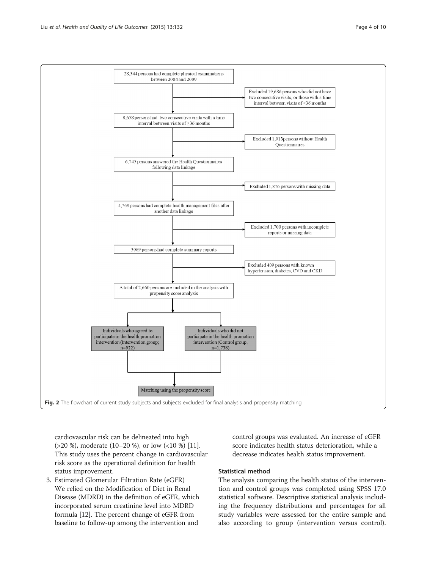<span id="page-3-0"></span>

cardiovascular risk can be delineated into high (>20 %), moderate (10–20 %), or low (<10 %) [[11\]](#page-8-0). This study uses the percent change in cardiovascular risk score as the operational definition for health status improvement.

3. Estimated Glomerular Filtration Rate (eGFR) We relied on the Modification of Diet in Renal Disease (MDRD) in the definition of eGFR, which incorporated serum creatinine level into MDRD formula [[12\]](#page-8-0). The percent change of eGFR from baseline to follow-up among the intervention and

control groups was evaluated. An increase of eGFR score indicates health status deterioration, while a decrease indicates health status improvement.

#### Statistical method

The analysis comparing the health status of the intervention and control groups was completed using SPSS 17.0 statistical software. Descriptive statistical analysis including the frequency distributions and percentages for all study variables were assessed for the entire sample and also according to group (intervention versus control).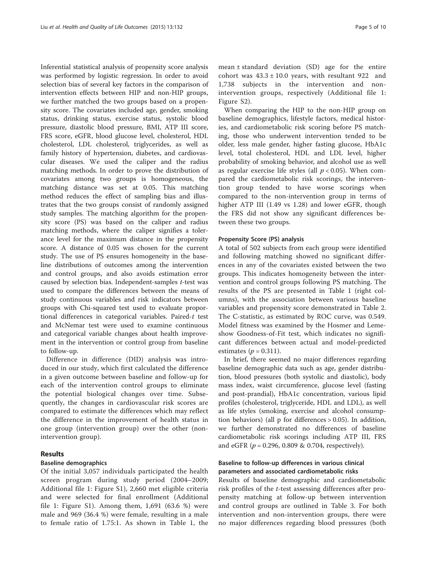Inferential statistical analysis of propensity score analysis was performed by logistic regression. In order to avoid selection bias of several key factors in the comparison of intervention effects between HIP and non-HIP groups, we further matched the two groups based on a propensity score. The covariates included age, gender, smoking status, drinking status, exercise status, systolic blood pressure, diastolic blood pressure, BMI, ATP III score, FRS score, eGFR, blood glucose level, cholesterol, HDL cholesterol, LDL cholesterol, triglycerides, as well as family history of hypertension, diabetes, and cardiovascular diseases. We used the caliper and the radius matching methods. In order to prove the distribution of covariates among two groups is homogeneous, the matching distance was set at 0.05. This matching method reduces the effect of sampling bias and illustrates that the two groups consist of randomly assigned study samples. The matching algorithm for the propensity score (PS) was based on the caliper and radius matching methods, where the caliper signifies a tolerance level for the maximum distance in the propensity score. A distance of 0.05 was chosen for the current study. The use of PS ensures homogeneity in the baseline distributions of outcomes among the intervention and control groups, and also avoids estimation error caused by selection bias. Independent-samples t-test was used to compare the differences between the means of study continuous variables and risk indicators between groups with Chi-squared test used to evaluate proportional differences in categorical variables. Paired-t test and McNemar test were used to examine continuous and categorical variable changes about health improvement in the intervention or control group from baseline to follow-up.

Difference in difference (DID) analysis was introduced in our study, which first calculated the difference in a given outcome between baseline and follow-up for each of the intervention control groups to eliminate the potential biological changes over time. Subsequently, the changes in cardiovascular risk scores are compared to estimate the differences which may reflect the difference in the improvement of health status in one group (intervention group) over the other (nonintervention group).

#### Results

# Baseline demographics

Of the initial 3,057 individuals participated the health screen program during study period (2004–2009; Additional file [1](#page-8-0): Figure S1), 2,660 met eligible criteria and were selected for final enrollment (Additional file [1](#page-8-0): Figure S1). Among them, 1,691 (63.6 %) were male and 969 (36.4 %) were female, resulting in a male to female ratio of 1.75:1. As shown in Table [1,](#page-5-0) the mean  $\pm$  standard deviation (SD) age for the entire cohort was  $43.3 \pm 10.0$  years, with resultant 922 and 1,738 subjects in the intervention and nonintervention groups, respectively (Additional file [1](#page-8-0): Figure S2).

When comparing the HIP to the non-HIP group on baseline demographics, lifestyle factors, medical histories, and cardiometabolic risk scoring before PS matching, those who underwent intervention tended to be older, less male gender, higher fasting glucose, HbA1c level, total cholesterol, HDL and LDL level, higher probability of smoking behavior, and alcohol use as well as regular exercise life styles (all  $p < 0.05$ ). When compared the cardiometabolic risk scorings, the intervention group tended to have worse scorings when compared to the non-intervention group in terms of higher ATP III (1.49 vs 1.28) and lower eGFR, though the FRS did not show any significant differences between these two groups.

#### Propensity Score (PS) analysis

A total of 502 subjects from each group were identified and following matching showed no significant differences in any of the covariates existed between the two groups. This indicates homogeneity between the intervention and control groups following PS matching. The results of the PS are presented in Table [1](#page-5-0) (right columns), with the association between various baseline variables and propensity score demonstrated in Table [2](#page-6-0). The C-statistic, as estimated by ROC curve, was 0.549. Model fitness was examined by the Hosmer and Lemeshow Goodness-of-Fit test, which indicates no significant differences between actual and model-predicted estimates ( $p = 0.311$ ).

In brief, there seemed no major differences regarding baseline demographic data such as age, gender distribution, blood pressures (both systolic and diastolic), body mass index, waist circumference, glucose level (fasting and post-prandial), HbA1c concentration, various lipid profiles (cholesterol, triglyceride, HDL and LDL), as well as life styles (smoking, exercise and alcohol consumption behaviors) (all p for differences > 0.05). In addition, we further demonstrated no differences of baseline cardiometabolic risk scorings including ATP III, FRS and eGFR ( $p = 0.296, 0.809 \& 0.704$ , respectively).

# Baseline to follow-up differences in various clinical parameters and associated cardiometabolic risks

Results of baseline demographic and cardiometabolic risk profiles of the t-test assessing differences after propensity matching at follow-up between intervention and control groups are outlined in Table [3.](#page-6-0) For both intervention and non-intervention groups, there were no major differences regarding blood pressures (both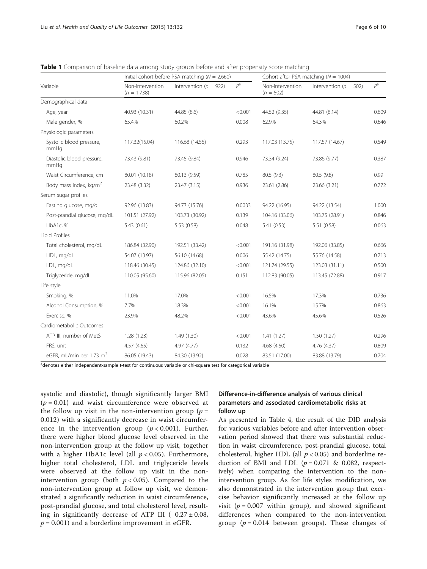|                                      |                                   | Initial cohort before PSA matching ( $N = 2,660$ ) | Cohort after PSA matching ( $N = 1004$ ) |                                 |                            |             |
|--------------------------------------|-----------------------------------|----------------------------------------------------|------------------------------------------|---------------------------------|----------------------------|-------------|
| Variable                             | Non-intervention<br>$(n = 1,738)$ | Intervention ( $n = 922$ )                         | $P^a$                                    | Non-intervention<br>$(n = 502)$ | Intervention ( $n = 502$ ) | $P^{\rm a}$ |
| Demographical data                   |                                   |                                                    |                                          |                                 |                            |             |
| Age, year                            | 40.93 (10.31)                     | 44.85 (8.6)                                        | < 0.001                                  | 44.52 (9.35)                    | 44.81 (8.14)               | 0.609       |
| Male gender, %                       | 65.4%                             | 60.2%                                              | 0.008                                    | 62.9%                           | 64.3%                      | 0.646       |
| Physiologic parameters               |                                   |                                                    |                                          |                                 |                            |             |
| Systolic blood pressure,<br>mmHq     | 117.32(15.04)                     | 116.68 (14.55)                                     | 0.293                                    | 117.03 (13.75)                  | 117.57 (14.67)             | 0.549       |
| Diastolic blood pressure,<br>mmHq    | 73.43 (9.81)                      | 73.45 (9.84)                                       | 0.946                                    | 73.34 (9.24)                    | 73.86 (9.77)               | 0.387       |
| Waist Circumference, cm              | 80.01 (10.18)                     | 80.13 (9.59)                                       | 0.785                                    | 80.5 (9.3)                      | 80.5 (9.8)                 | 0.99        |
| Body mass index, kg/m <sup>2</sup>   | 23.48 (3.32)                      | 23.47 (3.15)                                       | 0.936                                    | 23.61 (2.86)                    | 23.66 (3.21)               | 0.772       |
| Serum sugar profiles                 |                                   |                                                    |                                          |                                 |                            |             |
| Fasting glucose, mg/dL               | 92.96 (13.83)                     | 94.73 (15.76)                                      | 0.0033                                   | 94.22 (16.95)                   | 94.22 (13.54)              | 1.000       |
| Post-prandial glucose, mg/dL         | 101.51 (27.92)                    | 103.73 (30.92)                                     | 0.139                                    | 104.16 (33.06)                  | 103.75 (28.91)             | 0.846       |
| HbA1c, %                             | 5.43(0.61)                        | 5.53 (0.58)                                        | 0.048                                    | 5.41(0.53)                      | 5.51(0.58)                 | 0.063       |
| Lipid Profiles                       |                                   |                                                    |                                          |                                 |                            |             |
| Total cholesterol, mg/dL             | 186.84 (32.90)                    | 192.51 (33.42)                                     | < 0.001                                  | 191.16 (31.98)                  | 192.06 (33.85)             | 0.666       |
| HDL, mg/dL                           | 54.07 (13.97)                     | 56.10 (14.68)                                      | 0.006                                    | 55.42 (14.75)                   | 55.76 (14.58)              | 0.713       |
| LDL, mg/dL                           | 118.46 (30.45)                    | 124.86 (32.10)                                     | < 0.001                                  | 121.74 (29.55)                  | 123.03 (31.11)             | 0.500       |
| Triglyceride, mg/dL                  | 110.05 (95.60)                    | 115.96 (82.05)                                     | 0.151                                    | 112.83 (90.05)                  | 113.45 (72.88)             | 0.917       |
| Life style                           |                                   |                                                    |                                          |                                 |                            |             |
| Smoking, %                           | 11.0%                             | 17.0%                                              | < 0.001                                  | 16.5%                           | 17.3%                      | 0.736       |
| Alcohol Consumption, %               | 7.7%                              | 18.3%                                              | < 0.001                                  | 16.1%                           | 15.7%                      | 0.863       |
| Exercise, %                          | 23.9%                             | 48.2%                                              | < 0.001                                  | 43.6%                           | 45.6%                      | 0.526       |
| Cardiometabolic Outcomes             |                                   |                                                    |                                          |                                 |                            |             |
| ATP III, number of MetS              | 1.28(1.23)                        | 1.49(1.30)                                         | < 0.001                                  | 1.41(1.27)                      | 1.50(1.27)                 | 0.296       |
| FRS, unit                            | 4.57(4.65)                        | 4.97 (4.77)                                        | 0.132                                    | 4.68 (4.50)                     | 4.76(4.37)                 | 0.809       |
| eGFR, mL/min per 1.73 m <sup>2</sup> | 86.05 (19.43)                     | 84.30 (13.92)                                      | 0.028                                    | 83.51 (17.00)                   | 83.88 (13.79)              | 0.704       |

<span id="page-5-0"></span>**Table 1** Comparison of baseline data among study groups before and after propensity score matching

<sup>a</sup>denotes either independent-sample t-test for continuous variable or chi-square test for categorical variable

systolic and diastolic), though significantly larger BMI  $(p = 0.01)$  and waist circumference were observed at the follow up visit in the non-intervention group  $(p =$ 0.012) with a significantly decrease in waist circumference in the intervention group ( $p < 0.001$ ). Further, there were higher blood glucose level observed in the non-intervention group at the follow up visit, together with a higher HbA1c level (all  $p < 0.05$ ). Furthermore, higher total cholesterol, LDL and triglyceride levels were observed at the follow up visit in the nonintervention group (both  $p < 0.05$ ). Compared to the non-intervention group at follow up visit, we demonstrated a significantly reduction in waist circumference, post-prandial glucose, and total cholesterol level, resulting in significantly decrease of ATP III  $(-0.27 \pm 0.08,$  $p = 0.001$ ) and a borderline improvement in eGFR.

# Difference-in-difference analysis of various clinical parameters and associated cardiometabolic risks at follow up

As presented in Table [4](#page-7-0), the result of the DID analysis for various variables before and after intervention observation period showed that there was substantial reduction in waist circumference, post-prandial glucose, total cholesterol, higher HDL (all  $p < 0.05$ ) and borderline reduction of BMI and LDL  $(p = 0.071 \& 0.082,$  respectively) when comparing the intervention to the nonintervention group. As for life styles modification, we also demonstrated in the intervention group that exercise behavior significantly increased at the follow up visit ( $p = 0.007$  within group), and showed significant differences when compared to the non-intervention group ( $p = 0.014$  between groups). These changes of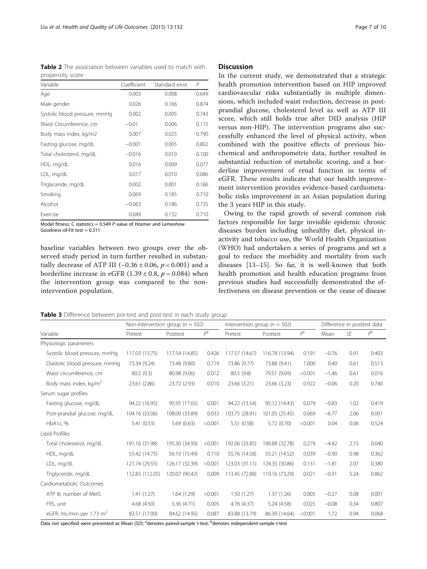<span id="page-6-0"></span>**Table 2** The association between variables used to match with propensity score

| Variable                      | Coefficient | Standard error | P     |
|-------------------------------|-------------|----------------|-------|
| Age                           | 0.003       | 0.008          | 0.649 |
| Male gender                   | 0.026       | 0.166          | 0.874 |
| Systolic blood pressure, mmHg | 0.002       | 0.005          | 0.743 |
| Waist Circumference, cm       | $-0.01$     | 0.006          | 0.115 |
| Body mass index, kg/m2        | 0.007       | 0.025          | 0.790 |
| Fasting glucose, mg/dL        | $-0.001$    | 0.005          | 0.802 |
| Total cholesterol, mg/dL      | $-0.016$    | 0.010          | 0.100 |
| HDL, mg/dL                    | 0.016       | 0.009          | 0.077 |
| LDL, mg/dL                    | 0.017       | 0.010          | 0.086 |
| Triglyceride, mg/dL           | 0.002       | 0.001          | 0.186 |
| Smoking                       | 0.069       | 0.185          | 0.710 |
| Alcohol                       | $-0.063$    | 0.186          | 0.735 |
| Exercise                      | 0.049       | 0.132          | 0.710 |

Model fitness: C statistics =  $0.549$  P value of Hosmer and Lemeshow Goodness-of-Fit test = 0.311

baseline variables between two groups over the observed study period in turn further resulted in substantially decrease of ATP III (−0.36 ± 0.06,  $p$  < 0.001) and a borderline increase in eGFR  $(1.39 \pm 0.8, p = 0.084)$  when the intervention group was compared to the nonintervention population.

#### Discussion

In the current study, we demonstrated that a strategic health promotion intervention based on HIP improved cardiovascular risks substantially in multiple dimensions, which included waist reduction, decrease in postprandial glucose, cholesterol level as well as ATP III score, which still holds true after DID analysis (HIP versus non-HIP). The intervention programs also successfully enhanced the level of physical activity, when combined with the positive effects of previous biochemical and anthropometric data, further resulted in substantial reduction of metabolic scoring, and a borderline improvement of renal function in terms of eGFR. These results indicate that our health improvement intervention provides evidence-based cardiometabolic risks improvement in an Asian population during the 3 years HIP in this study.

Owing to the rapid growth of several common risk factors responsible for large invisible epidemic chronic diseases burden including unhealthy diet, physical inactivity and tobacco use, the World Health Organization (WHO) had undertaken a series of programs and set a goal to reduce the morbidity and mortality from such diseases [[13](#page-8-0)–[15](#page-8-0)]. So far, it is well-known that both health promotion and health education programs from previous studies had successfully demonstrated the effectiveness on disease prevention or the cease of disease

Table 3 Difference between pre-test and post-test in each study group

|                                  | Non-intervention group ( $n = 502$ ) |                |                | Intervention group ( $n = 502$ ) |                |         | Difference in posttest data |      |             |
|----------------------------------|--------------------------------------|----------------|----------------|----------------------------------|----------------|---------|-----------------------------|------|-------------|
| Variable                         | Pretest                              | Posttest       | P <sup>a</sup> | Pretest                          | Posttest       | $P^a$   | Mean                        | SE   | $P^{\rm b}$ |
| Physiologic parameters           |                                      |                |                |                                  |                |         |                             |      |             |
| Systolic blood pressure, mmHg    | 117.03 (13.75)                       | 117.54 (14.85) | 0.426          | 117.57 (14.67)                   | 116.78 (13.94) | 0.191   | $-0.76$                     | 0.91 | 0.403       |
| Diastolic blood pressure, mmHg   | 73.34 (9.24)                         | 73.48 (9.80)   | 0.719          | 73.86 (9.77)                     | 73.88 (9.41)   | 1.000   | 0.40                        | 0.61 | 0.513       |
| Waist circumference, cm          | 80.5 (9.3)                           | 80.98 (9.06)   | 0.012          | 80.5 (9.8)                       | 79.51 (9.69)   | < 0.001 | $-1.46$                     | 0.61 | 0.016       |
| Body mass index, $\text{kg/m}^2$ | 23.61 (2.86)                         | 23.72 (2.93)   | 0.010          | 23.66 (3.21)                     | 23.66 (3.23)   | 0.922   | $-0.06$                     | 0.20 | 0.740       |
| Serum sugar profiles             |                                      |                |                |                                  |                |         |                             |      |             |
| Fasting glucose, mg/dL           | 94.22 (16.95)                        | 95.95 (17.65)  | 0.001          | 94.22 (13.54)                    | 95.12 (14.43)  | 0.079   | $-0.83$                     | 1.02 | 0.419       |
| Post-prandial glucose, mg/dL     | 104.16 (33.06)                       | 108.00 (33.89) | 0.033          | 103.75 (28.91)                   | 101.05 (25.45) | 0.069   | $-6.77$                     | 2.06 | 0.001       |
| HbA1c, %                         | 5.41(0.53)                           | 5.69(0.63)     | < 0.001        | 5.51 (0.58)                      | 5.72 (0.70)    | < 0.001 | 0.04                        | 0.06 | 0.524       |
| Lipid Profiles                   |                                      |                |                |                                  |                |         |                             |      |             |
| Total cholesterol, mg/dL         | 191.16 (31.98)                       | 195.30 (34.93) | < 0.001        | 192.06 (33.85)                   | 190.88 (32.78) | 0.279   | $-4.42$                     | 2.15 | 0.040       |
| HDL, mg/dL                       | 55.42 (14.75)                        | 56.10 (15.49)  | 0.110          | 55.76 (14.58)                    | 55.21 (14.52)  | 0.039   | $-0.90$                     | 0.98 | 0.362       |
| LDL, mg/dL                       | 121.74 (29.55)                       | 126.17 (32.39) | < 0.001        | 123.03 (31.11)                   | 124.35 (30.86) | 0.131   | $-1.81$                     | 2.07 | 0.380       |
| Triglyceride, mg/dL              | 112.83 (112.05)                      | 120.07 (90.42) | 0.009          | 113.45 (72.88)                   | 119.16 (73.29) | 0.021   | $-0.91$                     | 5.24 | 0.862       |
| Cardiometabolic Outcomes         |                                      |                |                |                                  |                |         |                             |      |             |
| ATP III, number of MetS          | 1.41(1.27)                           | 1.64(1.29)     | < 0.001        | 1.50(1.27)                       | 1.37(1.26)     | 0.005   | $-0.27$                     | 0.08 | 0.001       |
| FRS, unit                        | 4.68 (4.50)                          | 5.36(4.71)     | 0.005          | 4.76 (4.37)                      | 5.24 (4.58)    | 0.025   | $-0.08$                     | 0.34 | 0.807       |
| eGFR, mL/min per 1.73 $m2$       | 83.51 (17.00)                        | 84.62 (14.95)  | 0.087          | 83.88 (13.79)                    | 86.39 (14.64)  | < 0.001 | 1.72                        | 0.94 | 0.068       |

Data not specified were presented as Mean (SD); <sup>a</sup>denotes paired-sample t-test; <sup>b</sup>denotes independent-sample t-test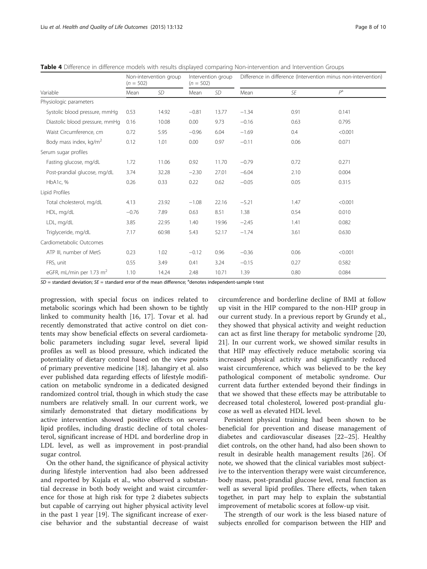Physiolo

Lipid Pro

Cardiometabolic Outcomes

<span id="page-7-0"></span>

| Table 4 Difference in difference models with results displayed comparing Non-intervention and Intervention Groups |                                       |           |                                   |           |                                                                |      |         |
|-------------------------------------------------------------------------------------------------------------------|---------------------------------------|-----------|-----------------------------------|-----------|----------------------------------------------------------------|------|---------|
|                                                                                                                   | Non-intervention group<br>$(n = 502)$ |           | Intervention group<br>$(n = 502)$ |           | Difference in difference (Intervention minus non-intervention) |      |         |
| Variable                                                                                                          | Mean                                  | <b>SD</b> | Mean                              | <b>SD</b> | Mean                                                           | SE   | $P^a$   |
| Physiologic parameters                                                                                            |                                       |           |                                   |           |                                                                |      |         |
| Systolic blood pressure, mmHg                                                                                     | 0.53                                  | 14.92     | $-0.81$                           | 13.77     | $-1.34$                                                        | 0.91 | 0.141   |
| Diastolic blood pressure, mmHg                                                                                    | 0.16                                  | 10.08     | 0.00                              | 9.73      | $-0.16$                                                        | 0.63 | 0.795   |
| Waist Circumference, cm                                                                                           | 0.72                                  | 5.95      | $-0.96$                           | 6.04      | $-1.69$                                                        | 0.4  | < 0.001 |
| Body mass index, kg/m <sup>2</sup>                                                                                | 0.12                                  | 1.01      | 0.00                              | 0.97      | $-0.11$                                                        | 0.06 | 0.071   |
| Serum sugar profiles                                                                                              |                                       |           |                                   |           |                                                                |      |         |
| Fasting glucose, mg/dL                                                                                            | 1.72                                  | 11.06     | 0.92                              | 11.70     | $-0.79$                                                        | 0.72 | 0.271   |
| Post-prandial glucose, mg/dL                                                                                      | 3.74                                  | 32.28     | $-2.30$                           | 27.01     | $-6.04$                                                        | 2.10 | 0.004   |
| HbA1c, %                                                                                                          | 0.26                                  | 0.33      | 0.22                              | 0.62      | $-0.05$                                                        | 0.05 | 0.315   |
| Lipid Profiles                                                                                                    |                                       |           |                                   |           |                                                                |      |         |
| Total cholesterol, mg/dL                                                                                          | 4.13                                  | 23.92     | $-1.08$                           | 22.16     | $-5.21$                                                        | 1.47 | < 0.001 |
| HDL, mg/dL                                                                                                        | $-0.76$                               | 7.89      | 0.63                              | 8.51      | 1.38                                                           | 0.54 | 0.010   |
|                                                                                                                   |                                       |           |                                   |           |                                                                |      |         |

**Table 4** Difference in difference models with results displayed comparing Non-intervention and Intervention Groups

LDL, mg/dL 3.85 22.95 1.40 19.96 −2.45 1.41 0.082 Triglyceride, mg/dL 7.17 60.98 5.43 52.17 −1.74 3.61 0.630

ATP III. number of MetS 0.23 1.02 −0.12 0.96 −0.36 0.06 <0.001 FRS, unit 0.55 3.49 0.41 3.24 −0.15 0.27 0.582 eGFR, mL/min per 1.73 m<sup>2</sup> 1.10 14.24 2.48 10.71 1.39 0.80 0.084

 $SD =$  standard deviation;  $SE =$  standard error of the mean difference;  $a$ denotes independent-sample t-test

progression, with special focus on indices related to metabolic scorings which had been shown to be tightly linked to community health [\[16, 17\]](#page-8-0). Tovar et al. had recently demonstrated that active control on diet contents may show beneficial effects on several cardiometabolic parameters including sugar level, several lipid profiles as well as blood pressure, which indicated the potentiality of dietary control based on the view points of primary preventive medicine [\[18](#page-8-0)]. Jahangiry et al. also ever published data regarding effects of lifestyle modification on metabolic syndrome in a dedicated designed randomized control trial, though in which study the case numbers are relatively small. In our current work, we similarly demonstrated that dietary modifications by active intervention showed positive effects on several lipid profiles, including drastic decline of total cholesterol, significant increase of HDL and borderline drop in LDL level, as well as improvement in post-prandial sugar control.

On the other hand, the significance of physical activity during lifestyle intervention had also been addressed and reported by Kujala et al., who observed a substantial decrease in both body weight and waist circumference for those at high risk for type 2 diabetes subjects but capable of carrying out higher physical activity level in the past 1 year [[19\]](#page-8-0). The significant increase of exercise behavior and the substantial decrease of waist

circumference and borderline decline of BMI at follow up visit in the HIP compared to the non-HIP group in our current study. In a previous report by Grundy et al., they showed that physical activity and weight reduction can act as first line therapy for metabolic syndrome [[20](#page-9-0), [21\]](#page-9-0). In our current work, we showed similar results in that HIP may effectively reduce metabolic scoring via increased physical activity and significantly reduced waist circumference, which was believed to be the key pathological component of metabolic syndrome. Our current data further extended beyond their findings in that we showed that these effects may be attributable to decreased total cholesterol, lowered post-prandial glucose as well as elevated HDL level.

Persistent physical training had been shown to be beneficial for prevention and disease management of diabetes and cardiovascular diseases [\[22](#page-9-0)–[25\]](#page-9-0). Healthy diet controls, on the other hand, had also been shown to result in desirable health management results [\[26\]](#page-9-0). Of note, we showed that the clinical variables most subjective to the intervention therapy were waist circumference, body mass, post-prandial glucose level, renal function as well as several lipid profiles. There effects, when taken together, in part may help to explain the substantial improvement of metabolic scores at follow-up visit.

The strength of our work is the less biased nature of subjects enrolled for comparison between the HIP and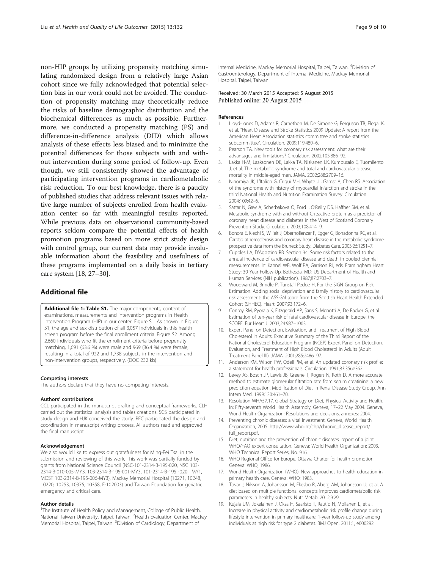<span id="page-8-0"></span>non-HIP groups by utilizing propensity matching simulating randomized design from a relatively large Asian cohort since we fully acknowledged that potential selection bias in our work could not be avoided. The conduction of propensity matching may theoretically reduce the risks of baseline demographic distribution and the biochemical differences as much as possible. Furthermore, we conducted a propensity matching (PS) and difference-in-difference analysis (DID) which allows analysis of these effects less biased and to minimize the potential differences for those subjects with and without intervention during some period of follow-up. Even though, we still consistently showed the advantage of participating intervention programs in cardiometabolic risk reduction. To our best knowledge, there is a paucity of published studies that address relevant issues with relative large number of subjects enrolled from health evaluation center so far with meaningful results reported. While previous data on observational community-based reports seldom compare the potential effects of health promotion programs based on more strict study design with control group, our current data may provide invaluable information about the feasibility and usefulness of these programs implemented on a daily basis in tertiary care system [18, [27](#page-9-0)–[30](#page-9-0)].

## Additional file

[Additional file 1: Table S1.](http://www.hqlo.com/content/supplementary/s12955-015-0325-2-s1.doc) The major components, content of examinations, measurements and intervention programs in Health Intervention Program (HIP) in our center. Figure S1. As shown in Figure S1, the age and sex distribution of all 3,057 individuals in this health screen program before the final enrollment criteria. Figure S2. Among 2,660 individuals who fit the enrollment criteria before propensity matching, 1,691 (63.6 %) were male and 969 (36.4 %) were female, resulting in a total of 922 and 1,738 subjects in the intervention and non-intervention groups, respectively. (DOC 232 kb)

#### Competing interests

The authors declare that they have no competing interests.

#### Authors' contributions

CCL participated in the manuscript drafting and conceptual frameworks. CLH carried out the statistical analysis and tables creations. SCS participated in study design and HJK conceived the study. REC participated the design and coordination in manuscript writing process. All authors read and approved the final manuscript.

#### Acknowledgement

We also would like to express out gratefulness for Ming-Fei Tsai in the submission and reviewing of this work. This work was partially funded by grants from National Science Council (NSC-101-2314-B-195-020, NSC 103- 2314-B-010-005-MY3, 103-2314-B-195-001-MY3, 101-2314-B-195 -020 –MY1, MOST 103-2314-B-195-006-MY3), Mackay Memorial Hospital (10271, 10248, 10220, 10253, 10375, 10358, E-102003) and Taiwan Foundation for geriatric emergency and critical care.

#### Author details

<sup>1</sup>The Institute of Health Policy and Management, College of Public Health, National Taiwan University, Taipei, Taiwan. <sup>2</sup> Health Evaluation Center, Mackay Memorial Hospital, Taipei, Taiwan. <sup>3</sup>Division of Cardiology, Department of

Internal Medicine, Mackay Memorial Hospital, Taipei, Taiwan. <sup>4</sup>Division of Gastroenterology, Department of Internal Medicine, Mackay Memorial Hospital, Taipei, Taiwan.

#### Received: 30 March 2015 Accepted: 5 August 2015 Published online: 20 August 2015

#### References

- 1. Lloyd-Jones D, Adams R, Carnethon M, De Simone G, Ferguson TB, Flegal K, et al. "Heart Disease and Stroke Statistics 2009 Update: A report from the American Heart Association statistics committee and stroke statistics subcommittee". Circulation. 2009;119:480–6.
- 2. Pearson TA. New tools for coronary risk assessment: what are their advantages and limitations? Circulation. 2002;105:886–92.
- 3. Lakka H-M, Laaksonen DE, Lakka TA, Niskanen LK, Kumpusalo E, Tuomilehto J, et al. The metabolic syndrome and total and cardiovascular disease mortality in middle-aged men. JAMA. 2002;288:2709–16.
- 4. Ninomiya JK, L'Italien G, Criqui MH, Whyte JL, Gamst A, Chen RS. Association of the syndrome with history of myocardial infarction and stroke in the third National Health and Nutrition Examination Survey. Circulation. 2004;109:42–6.
- 5. Sattar N, Gaw A, Scherbakova O, Ford I, O'Reilly DS, Haffner SM, et al. Metabolic syndrome with and without C-reactive protein as a predictor of coronary heart disease and diabetes in the West of Scotland Coronary Prevention Study. Circulation. 2003;108:414–9.
- 6. Bonora E, Kiechl S, Willeit J, Oberhollenzer F, Egger G, Bonadonna RC, et al. Carotid atherosclerosis and coronary heart disease in the metabolic syndrome: prospective data from the Bruneck Study. Diabetes Care. 2003;26:1251–7.
- 7. Cupples LA, D'Agostino RB. Section 34: Some risk factors related to the annual incidence of cardiovascular disease and death in pooled biennial measurements. In: Kannel WB, Wolf PA, Garrison RJ, eds. Framingham Heart Study: 30 Year Follow-Up. Bethesda, MD: US Department of Health and Human Services (NIH publication). 1987;87:2703–7.
- 8. Woodward M, Brindle P, Tunstall Pedoe H, For the SIGN Group on Risk Estimation. Adding social deprivation and family history to cardiovascular risk assessment: the ASSIGN score from the Scottish Heart Health Extended Cohort (SHHEC). Heart. 2007;93:172–6.
- 9. Conroy RM, Pyorala K, Fitzgerald AP, Sans S, Menotti A, De Backer G, et al. Estimation of ten-year risk of fatal cardiovascular disease in Europe: the SCORE. Eur Heart J. 2003;24:987–1003.
- 10. Expert Panel on Detection, Evaluation, and Treatment of High Blood Cholesterol in Adults. Executive Summary of the Third Report of the National Cholesterol Education Program (NCEP) Expert Panel on Detection, Evaluation, and Treatment of High Blood Cholesterol in Adults (Adult Treatment Panel III). JAMA. 2001;285:2486–97.
- 11. Anderson KM, Wilson PW, Odell PM, et al. An updated coronary risk profile: a statement for health professionals. Circulation. 1991;83:356e362.
- 12. Levey AS, Bosch JP, Lewis JB, Greene T, Rogers N, Roth D. A more accurate method to estimate glomerular filtration rate from serum creatinine: a new prediction equation. Modification of Diet in Renal Disease Study Group. Ann Intern Med. 1999;130:461–70.
- 13. Resolution WHA57.17. Global Strategy on Diet, Physical Activity and Health. In: Fifty-seventh World Health Assembly, Geneva, 17–22 May 2004. Geneva, World Health Organization: Resolutions and decisions, annexes; 2004.
- 14. Preventing chronic diseases: a vital investment. Geneva, World Health Organization, 2005. [http://www.who.int/chp/chronic\\_disease\\_report/](http://www.who.int/chp/chronic_disease_report/full_report.pdf) [full\\_report.pdf.](http://www.who.int/chp/chronic_disease_report/full_report.pdf)
- Diet, nutrition and the prevention of chronic diseases. report of a joint WHO/FAO expert consultation. Geneva: World Health Organization; 2003. WHO Technical Report Series, No. 916.
- 16. WHO Regional Office for Europe. Ottawa Charter for health promotion. Geneva: WHO; 1986.
- 17. World Health Organization (WHO). New approaches to health education in primary health care. Geneva: WHO; 1983.
- 18. Tovar J, Nilsson A, Johansson M, Ekesbo R, Aberg AM, Johansson U, et al. A diet based on multiple functional concepts improves cardiometabolic risk parameters in healthy subjects. Nutr Metab. 2012;9:29.
- 19. Kujala UM, Jokelainen J, Oksa H, Saaristo T, Rautio N, Moilanen L, et al. Increase in physical activity and cardiometabolic risk profile change during lifestyle intervention in primary healthcare: 1-year follow-up study among individuals at high risk for type 2 diabetes. BMJ Open. 2011;1, e000292.